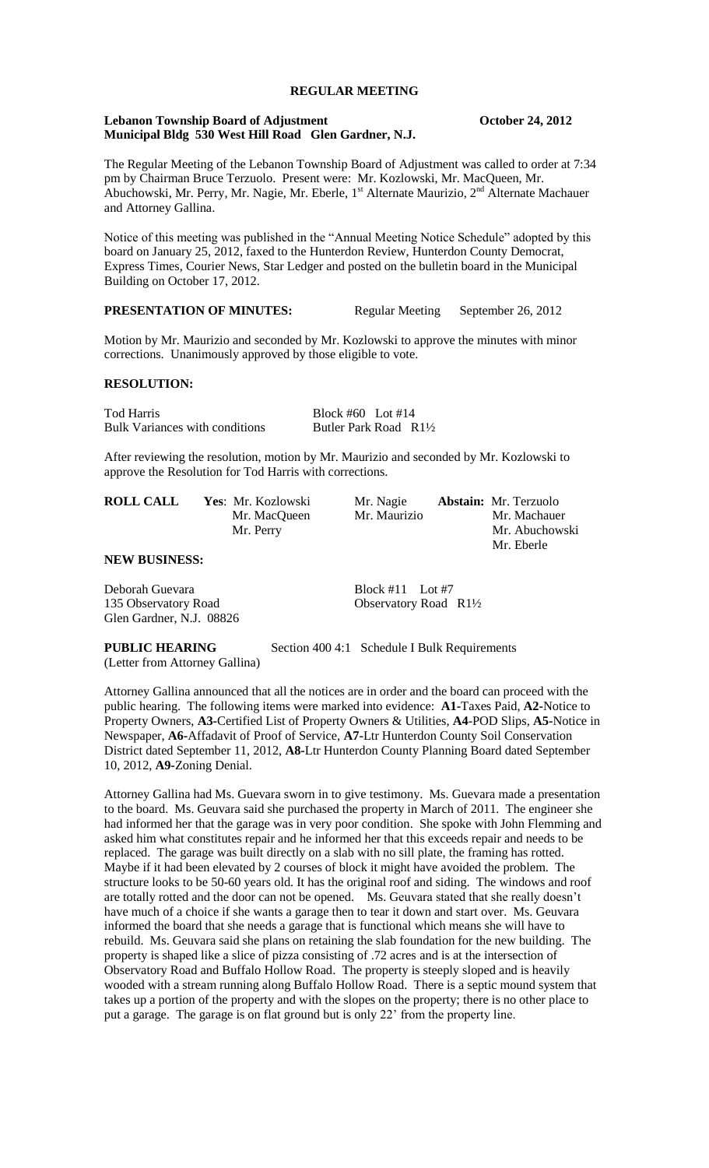# **REGULAR MEETING**

#### **Lebanon Township Board of Adjustment Constant Constant October 24, 2012 Municipal Bldg 530 West Hill Road Glen Gardner, N.J.**

The Regular Meeting of the Lebanon Township Board of Adjustment was called to order at 7:34 pm by Chairman Bruce Terzuolo. Present were: Mr. Kozlowski, Mr. MacQueen, Mr. Abuchowski, Mr. Perry, Mr. Nagie, Mr. Eberle, 1<sup>st</sup> Alternate Maurizio, 2<sup>nd</sup> Alternate Machauer and Attorney Gallina.

Notice of this meeting was published in the "Annual Meeting Notice Schedule" adopted by this board on January 25, 2012, faxed to the Hunterdon Review, Hunterdon County Democrat, Express Times, Courier News, Star Ledger and posted on the bulletin board in the Municipal Building on October 17, 2012.

## **PRESENTATION OF MINUTES:** Regular Meeting September 26, 2012

Motion by Mr. Maurizio and seconded by Mr. Kozlowski to approve the minutes with minor corrections. Unanimously approved by those eligible to vote.

#### **RESOLUTION:**

Tod Harris Block #60 Lot #14 Bulk Variances with conditions Butler Park Road R1½

After reviewing the resolution, motion by Mr. Maurizio and seconded by Mr. Kozlowski to approve the Resolution for Tod Harris with corrections.

| <b>ROLL CALL</b> | Yes: Mr. Kozlowski | Mr. Nagie    | <b>Abstain:</b> Mr. Terzuolo |
|------------------|--------------------|--------------|------------------------------|
|                  | Mr. MacQueen       | Mr. Maurizio | Mr. Machauer                 |
|                  | Mr. Perry          |              | Mr. Abuchowski               |
|                  |                    |              | Mr. Eberle                   |

## **NEW BUSINESS:**

Deborah Guevara Block #11 Lot #7 135 Observatory Road Observatory Road R1½ Glen Gardner, N.J. 08826

**PUBLIC HEARING** Section 400 4:1 Schedule I Bulk Requirements (Letter from Attorney Gallina)

Attorney Gallina announced that all the notices are in order and the board can proceed with the public hearing. The following items were marked into evidence: **A1-**Taxes Paid, **A2-**Notice to Property Owners, **A3-**Certified List of Property Owners & Utilities, **A4**-POD Slips, **A5-**Notice in Newspaper, **A6-**Affadavit of Proof of Service, **A7-**Ltr Hunterdon County Soil Conservation District dated September 11, 2012, **A8-**Ltr Hunterdon County Planning Board dated September 10, 2012, **A9-**Zoning Denial.

Attorney Gallina had Ms. Guevara sworn in to give testimony. Ms. Guevara made a presentation to the board. Ms. Geuvara said she purchased the property in March of 2011. The engineer she had informed her that the garage was in very poor condition. She spoke with John Flemming and asked him what constitutes repair and he informed her that this exceeds repair and needs to be replaced. The garage was built directly on a slab with no sill plate, the framing has rotted. Maybe if it had been elevated by 2 courses of block it might have avoided the problem. The structure looks to be 50-60 years old. It has the original roof and siding. The windows and roof are totally rotted and the door can not be opened. Ms. Geuvara stated that she really doesn't have much of a choice if she wants a garage then to tear it down and start over. Ms. Geuvara informed the board that she needs a garage that is functional which means she will have to rebuild. Ms. Geuvara said she plans on retaining the slab foundation for the new building. The property is shaped like a slice of pizza consisting of .72 acres and is at the intersection of Observatory Road and Buffalo Hollow Road. The property is steeply sloped and is heavily wooded with a stream running along Buffalo Hollow Road. There is a septic mound system that takes up a portion of the property and with the slopes on the property; there is no other place to put a garage. The garage is on flat ground but is only 22' from the property line.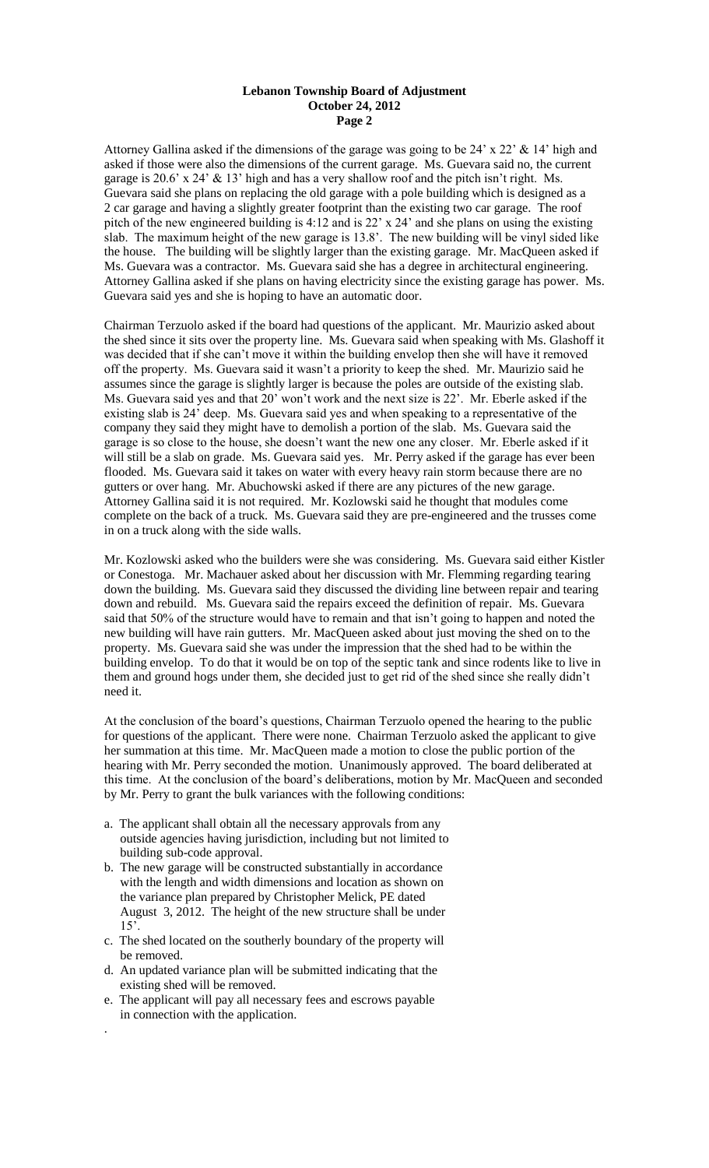#### **Lebanon Township Board of Adjustment October 24, 2012 Page 2**

Attorney Gallina asked if the dimensions of the garage was going to be 24' x 22' & 14' high and asked if those were also the dimensions of the current garage. Ms. Guevara said no, the current garage is 20.6' x 24'  $\&$  13' high and has a very shallow roof and the pitch isn't right. Ms. Guevara said she plans on replacing the old garage with a pole building which is designed as a 2 car garage and having a slightly greater footprint than the existing two car garage. The roof pitch of the new engineered building is 4:12 and is 22' x 24' and she plans on using the existing slab. The maximum height of the new garage is 13.8'. The new building will be vinyl sided like the house. The building will be slightly larger than the existing garage. Mr. MacQueen asked if Ms. Guevara was a contractor. Ms. Guevara said she has a degree in architectural engineering. Attorney Gallina asked if she plans on having electricity since the existing garage has power. Ms. Guevara said yes and she is hoping to have an automatic door.

Chairman Terzuolo asked if the board had questions of the applicant. Mr. Maurizio asked about the shed since it sits over the property line. Ms. Guevara said when speaking with Ms. Glashoff it was decided that if she can't move it within the building envelop then she will have it removed off the property. Ms. Guevara said it wasn't a priority to keep the shed. Mr. Maurizio said he assumes since the garage is slightly larger is because the poles are outside of the existing slab. Ms. Guevara said yes and that 20' won't work and the next size is 22'. Mr. Eberle asked if the existing slab is 24' deep. Ms. Guevara said yes and when speaking to a representative of the company they said they might have to demolish a portion of the slab. Ms. Guevara said the garage is so close to the house, she doesn't want the new one any closer. Mr. Eberle asked if it will still be a slab on grade. Ms. Guevara said yes. Mr. Perry asked if the garage has ever been flooded. Ms. Guevara said it takes on water with every heavy rain storm because there are no gutters or over hang. Mr. Abuchowski asked if there are any pictures of the new garage. Attorney Gallina said it is not required. Mr. Kozlowski said he thought that modules come complete on the back of a truck. Ms. Guevara said they are pre-engineered and the trusses come in on a truck along with the side walls.

Mr. Kozlowski asked who the builders were she was considering. Ms. Guevara said either Kistler or Conestoga. Mr. Machauer asked about her discussion with Mr. Flemming regarding tearing down the building. Ms. Guevara said they discussed the dividing line between repair and tearing down and rebuild. Ms. Guevara said the repairs exceed the definition of repair. Ms. Guevara said that 50% of the structure would have to remain and that isn't going to happen and noted the new building will have rain gutters. Mr. MacQueen asked about just moving the shed on to the property. Ms. Guevara said she was under the impression that the shed had to be within the building envelop. To do that it would be on top of the septic tank and since rodents like to live in them and ground hogs under them, she decided just to get rid of the shed since she really didn't need it.

At the conclusion of the board's questions, Chairman Terzuolo opened the hearing to the public for questions of the applicant. There were none. Chairman Terzuolo asked the applicant to give her summation at this time. Mr. MacQueen made a motion to close the public portion of the hearing with Mr. Perry seconded the motion. Unanimously approved. The board deliberated at this time. At the conclusion of the board's deliberations, motion by Mr. MacQueen and seconded by Mr. Perry to grant the bulk variances with the following conditions:

- a. The applicant shall obtain all the necessary approvals from any outside agencies having jurisdiction, including but not limited to building sub-code approval.
- b. The new garage will be constructed substantially in accordance with the length and width dimensions and location as shown on the variance plan prepared by Christopher Melick, PE dated August 3, 2012. The height of the new structure shall be under  $15^\circ$ .
- c. The shed located on the southerly boundary of the property will be removed.
- d. An updated variance plan will be submitted indicating that the existing shed will be removed.
- e. The applicant will pay all necessary fees and escrows payable in connection with the application.

.